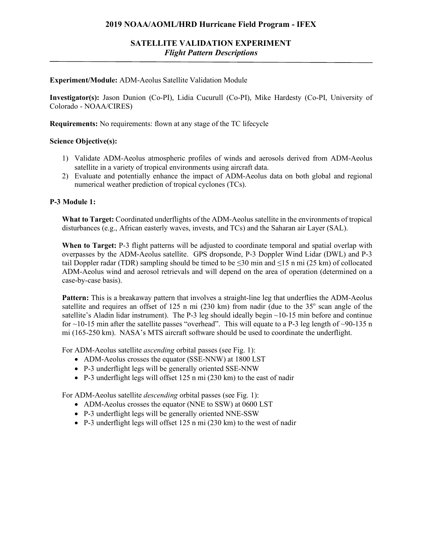## **2019 NOAA/AOML/HRD Hurricane Field Program - IFEX**

### **Experiment/Module:** ADM-Aeolus Satellite Validation Module

**Investigator(s):** Jason Dunion (Co-PI), Lidia Cucurull (Co-PI), Mike Hardesty (Co-PI, University of Colorado - NOAA/CIRES)

**Requirements:** No requirements: flown at any stage of the TC lifecycle

### **Science Objective(s):**

- 1) Validate ADM-Aeolus atmospheric profiles of winds and aerosols derived from ADM-Aeolus satellite in a variety of tropical environments using aircraft data.
- 2) Evaluate and potentially enhance the impact of ADM-Aeolus data on both global and regional numerical weather prediction of tropical cyclones (TCs).

### **P-3 Module 1:**

**What to Target:** Coordinated underflights of the ADM-Aeolus satellite in the environments of tropical disturbances (e.g., African easterly waves, invests, and TCs) and the Saharan air Layer (SAL).

**When to Target:** P-3 flight patterns will be adjusted to coordinate temporal and spatial overlap with overpasses by the ADM-Aeolus satellite. GPS dropsonde, P-3 Doppler Wind Lidar (DWL) and P-3 tail Doppler radar (TDR) sampling should be timed to be ≤30 min and ≤15 n mi (25 km) of collocated ADM-Aeolus wind and aerosol retrievals and will depend on the area of operation (determined on a case-by-case basis).

**Pattern:** This is a breakaway pattern that involves a straight-line leg that underflies the ADM-Aeolus satellite and requires an offset of 125 n mi  $(230 \text{ km})$  from nadir (due to the 35 $^{\circ}$  scan angle of the satellite's Aladin lidar instrument). The P-3 leg should ideally begin  $\sim$ 10-15 min before and continue for  $\sim$ 10-15 min after the satellite passes "overhead". This will equate to a P-3 leg length of  $\sim$ 90-135 n mi (165-250 km). NASA's MTS aircraft software should be used to coordinate the underflight.

For ADM-Aeolus satellite *ascending* orbital passes (see Fig. 1):

- ADM-Aeolus crosses the equator (SSE-NNW) at 1800 LST
- P-3 underflight legs will be generally oriented SSE-NNW
- P-3 underflight legs will offset 125 n mi (230 km) to the east of nadir

For ADM-Aeolus satellite *descending* orbital passes (see Fig. 1):

- ADM-Aeolus crosses the equator (NNE to SSW) at 0600 LST
- P-3 underflight legs will be generally oriented NNE-SSW
- P-3 underflight legs will offset 125 n mi (230 km) to the west of nadir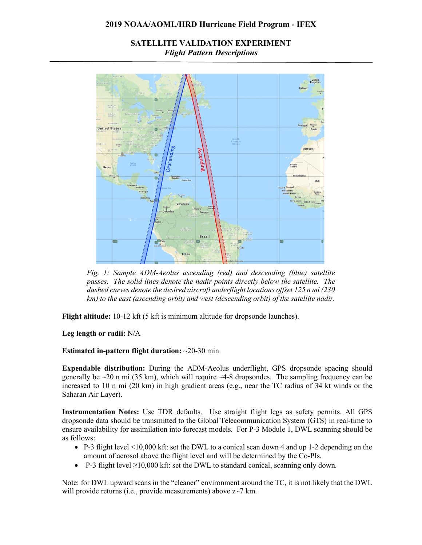### **2019 NOAA/AOML/HRD Hurricane Field Program - IFEX**

# **SATELLITE VALIDATION EXPERIMENT** *Flight Pattern Descriptions*



*Fig. 1: Sample ADM-Aeolus ascending (red) and descending (blue) satellite passes. The solid lines denote the nadir points directly below the satellite. The dashed curves denote the desired aircraft underflight locations offset 125 n mi (230 km) to the east (ascending orbit) and west (descending orbit) of the satellite nadir.*

**Flight altitude:** 10-12 kft (5 kft is minimum altitude for dropsonde launches).

**Leg length or radii:** N/A

**Estimated in-pattern flight duration:** ~20-30 min

**Expendable distribution:** During the ADM-Aeolus underflight, GPS dropsonde spacing should generally be  $\sim$ 20 n mi (35 km), which will require  $\sim$ 4-8 dropsondes. The sampling frequency can be increased to 10 n mi (20 km) in high gradient areas (e.g., near the TC radius of 34 kt winds or the Saharan Air Layer).

**Instrumentation Notes:** Use TDR defaults. Use straight flight legs as safety permits. All GPS dropsonde data should be transmitted to the Global Telecommunication System (GTS) in real-time to ensure availability for assimilation into forecast models. For P-3 Module 1, DWL scanning should be as follows:

- P-3 flight level  $\leq 10,000$  kft: set the DWL to a conical scan down 4 and up 1-2 depending on the amount of aerosol above the flight level and will be determined by the Co-PIs.
- P-3 flight level  $\geq 10,000$  kft: set the DWL to standard conical, scanning only down.

Note: for DWL upward scans in the "cleaner" environment around the TC, it is not likely that the DWL will provide returns (i.e., provide measurements) above  $z$ ~7 km.